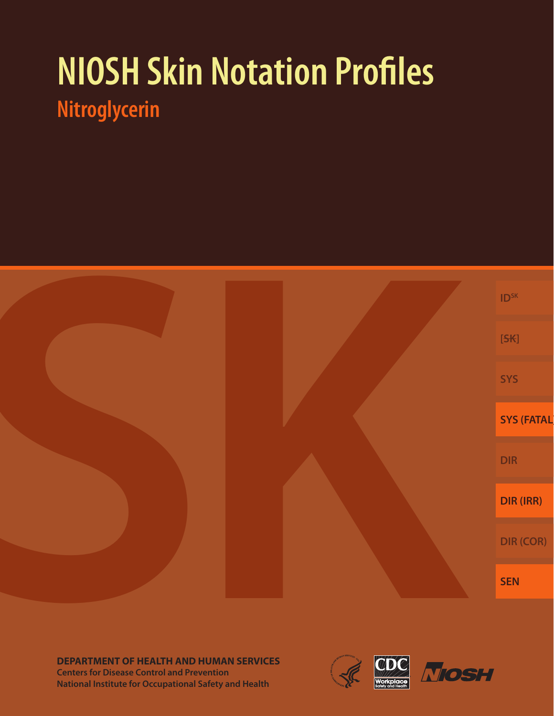# **NIOSH Skin Notation Profiles Nitroglycerin**



**DEPARTMENT OF HEALTH AND HUMAN SERVICES Centers for Disease Control and Prevention National Institute for Occupational Safety and Health**



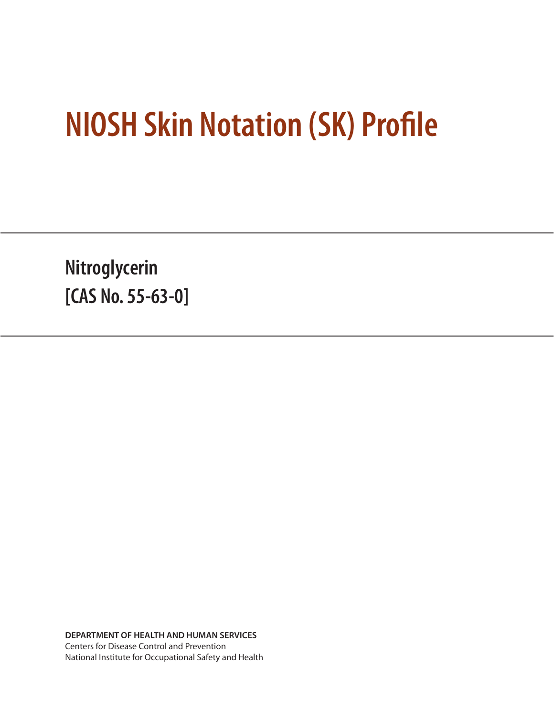# **NIOSH Skin Notation (SK) Profile**

**Nitroglycerin [CAS No. 55-63-0]**

**DEPARTMENT OF HEALTH AND HUMAN SERVICES** Centers for Disease Control and Prevention National Institute for Occupational Safety and Health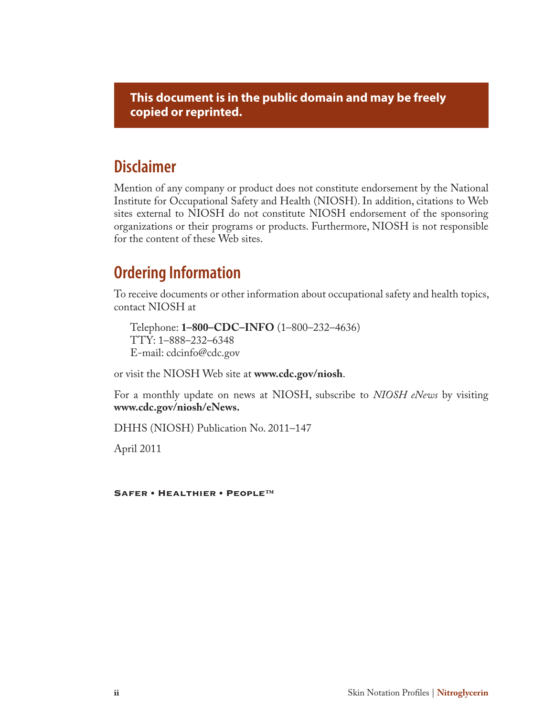**This document is in the public domain and may be freely copied or reprinted.**

## **Disclaimer**

Mention of any company or product does not constitute endorsement by the National Institute for Occupational Safety and Health (NIOSH). In addition, citations to Web sites external to NIOSH do not constitute NIOSH endorsement of the sponsoring organizations or their programs or products. Furthermore, NIOSH is not responsible for the content of these Web sites.

## **Ordering Information**

To receive documents or other information about occupational safety and health topics, contact NIOSH at

Telephone: **1–800–CDC–INFO** (1–800–232–4636) TTY: 1–888–232–6348 E-mail: cdcinfo@cdc.gov

or visit the NIOSH Web site at **www.cdc.gov/niosh**.

For a monthly update on news at NIOSH, subscribe to *NIOSH eNews* by visiting **www.cdc.gov/niosh/eNews.**

DHHS (NIOSH) Publication No. 2011–147

April 2011

Safer • Healthier • People™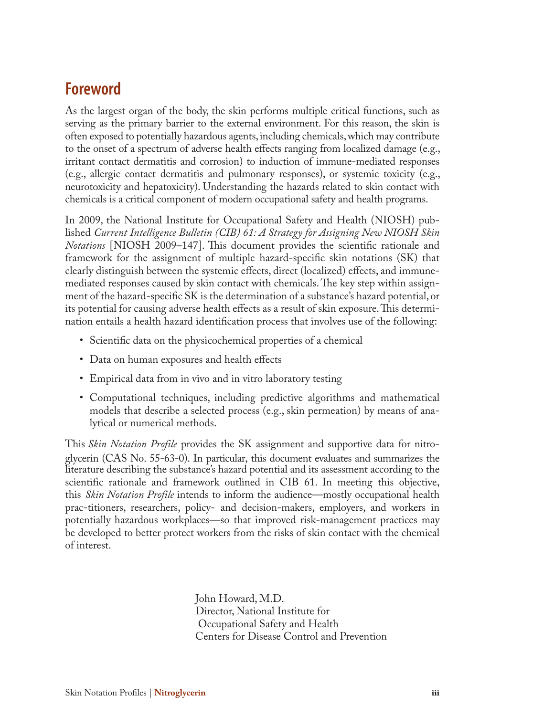# **Foreword**

As the largest organ of the body, the skin performs multiple critical functions, such as serving as the primary barrier to the external environment. For this reason, the skin is often exposed to potentially hazardous agents, including chemicals, which may contribute to the onset of a spectrum of adverse health effects ranging from localized damage (e.g., irritant contact dermatitis and corrosion) to induction of immune-mediated responses (e.g., allergic contact dermatitis and pulmonary responses), or systemic toxicity (e.g., neurotoxicity and hepatoxicity). Understanding the hazards related to skin contact with chemicals is a critical component of modern occupational safety and health programs.

In 2009, the National Institute for Occupational Safety and Health (NIOSH) published *Current Intelligence Bulletin (CIB) 61: A Strategy for Assigning New NIOSH Skin Notations* [NIOSH 2009–147]. This document provides the scientific rationale and framework for the assignment of multiple hazard-specific skin notations (SK) that clearly distinguish between the systemic effects, direct (localized) effects, and immunemediated responses caused by skin contact with chemicals. The key step within assignment of the hazard-specific SK is the determination of a substance's hazard potential, or its potential for causing adverse health effects as a result of skin exposure. This determination entails a health hazard identification process that involves use of the following:

- Scientific data on the physicochemical properties of a chemical
- Data on human exposures and health effects
- Empirical data from in vivo and in vitro laboratory testing
- Computational techniques, including predictive algorithms and mathematical models that describe a selected process (e.g., skin permeation) by means of analytical or numerical methods.

This *Skin Notation Profile* provides the SK assignment and supportive data for nitroglycerin (CAS No. 55-63-0). In particular, this document evaluates and summarizes the literature describing the substance's hazard potential and its assessment according to the scientific rationale and framework outlined in CIB 61. In meeting this objective, this *Skin Notation Profile* intends to inform the audience—mostly occupational health prac-titioners, researchers, policy- and decision-makers, employers, and workers in potentially hazardous workplaces—so that improved risk-management practices may be developed to better protect workers from the risks of skin contact with the chemical of interest.

> John Howard, M.D. Director, National Institute for Occupational Safety and Health Centers for Disease Control and Prevention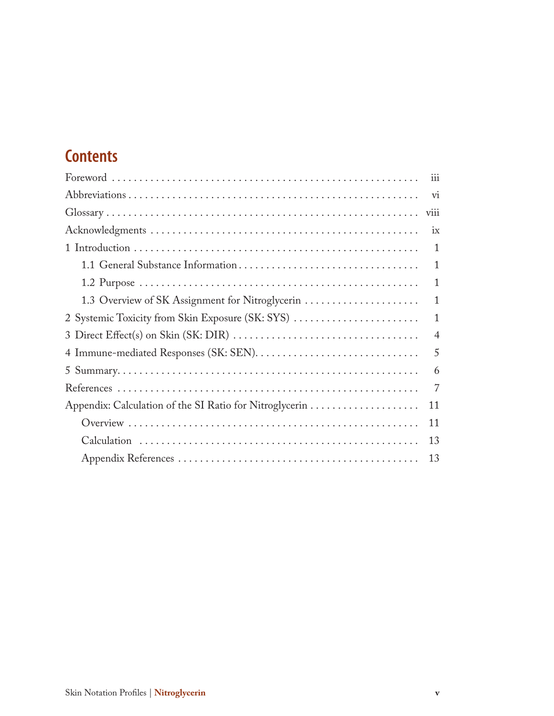# **Contents**

| iii            |
|----------------|
| vi             |
| viii           |
| ix             |
| 1              |
| $\mathbf{1}$   |
| 1              |
| $\mathbf{1}$   |
| $\mathbf{1}$   |
| $\overline{4}$ |
| 5              |
| 6              |
| $\overline{7}$ |
| 11             |
| 11             |
| 13             |
| 13             |
|                |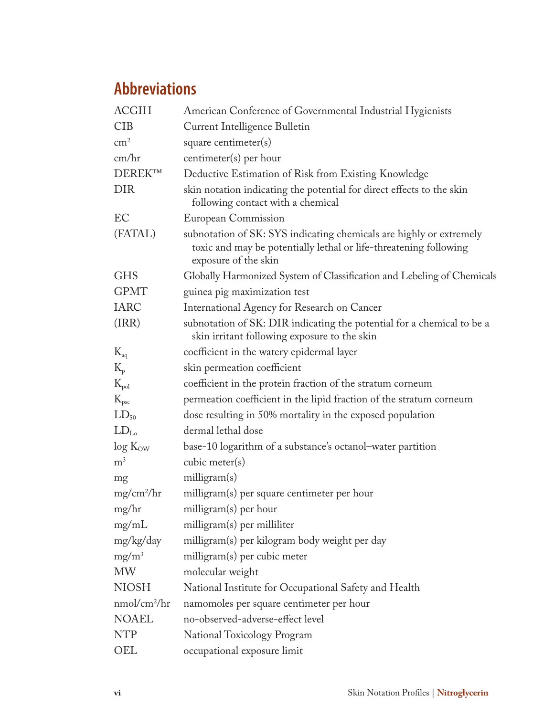# **Abbreviations**

| <b>ACGIH</b>             | American Conference of Governmental Industrial Hygienists                                                                                                        |  |  |
|--------------------------|------------------------------------------------------------------------------------------------------------------------------------------------------------------|--|--|
| <b>CIB</b>               | Current Intelligence Bulletin                                                                                                                                    |  |  |
| $\text{cm}^2$            | square centimeter(s)                                                                                                                                             |  |  |
| cm/hr                    | $centimeter(s)$ per hour                                                                                                                                         |  |  |
| DEREK™                   | Deductive Estimation of Risk from Existing Knowledge                                                                                                             |  |  |
| <b>DIR</b>               | skin notation indicating the potential for direct effects to the skin<br>following contact with a chemical                                                       |  |  |
| EC                       | <b>European Commission</b>                                                                                                                                       |  |  |
| (FATAL)                  | subnotation of SK: SYS indicating chemicals are highly or extremely<br>toxic and may be potentially lethal or life-threatening following<br>exposure of the skin |  |  |
| <b>GHS</b>               | Globally Harmonized System of Classification and Lebeling of Chemicals                                                                                           |  |  |
| <b>GPMT</b>              | guinea pig maximization test                                                                                                                                     |  |  |
| <b>IARC</b>              | International Agency for Research on Cancer                                                                                                                      |  |  |
| (IRR)                    | subnotation of SK: DIR indicating the potential for a chemical to be a<br>skin irritant following exposure to the skin                                           |  |  |
| $K_{aq}$                 | coefficient in the watery epidermal layer                                                                                                                        |  |  |
| $K_{p}$                  | skin permeation coefficient                                                                                                                                      |  |  |
| $K_{pol}$                | coefficient in the protein fraction of the stratum corneum                                                                                                       |  |  |
| $K_{\text{psc}}$         | permeation coefficient in the lipid fraction of the stratum corneum                                                                                              |  |  |
| $LD_{50}$                | dose resulting in 50% mortality in the exposed population                                                                                                        |  |  |
| $LD_{Lo}$                | dermal lethal dose                                                                                                                                               |  |  |
| $log K_{OW}$             | base-10 logarithm of a substance's octanol-water partition                                                                                                       |  |  |
| m <sup>3</sup>           | cubic meter(s)                                                                                                                                                   |  |  |
| mg                       | milligram(s)                                                                                                                                                     |  |  |
| $mg/cm^2/hr$             | milligram(s) per square centimeter per hour                                                                                                                      |  |  |
| mg/hr                    | milligram(s) per hour                                                                                                                                            |  |  |
| mg/mL                    | milligram(s) per milliliter                                                                                                                                      |  |  |
| mg/kg/day                | milligram(s) per kilogram body weight per day                                                                                                                    |  |  |
| $mg/m^3$                 | milligram(s) per cubic meter                                                                                                                                     |  |  |
| <b>MW</b>                | molecular weight                                                                                                                                                 |  |  |
| <b>NIOSH</b>             | National Institute for Occupational Safety and Health                                                                                                            |  |  |
| nmol/cm <sup>2</sup> /hr | namomoles per square centimeter per hour                                                                                                                         |  |  |
| <b>NOAEL</b>             | no-observed-adverse-effect level                                                                                                                                 |  |  |
| <b>NTP</b>               | National Toxicology Program                                                                                                                                      |  |  |
| OEL                      | occupational exposure limit                                                                                                                                      |  |  |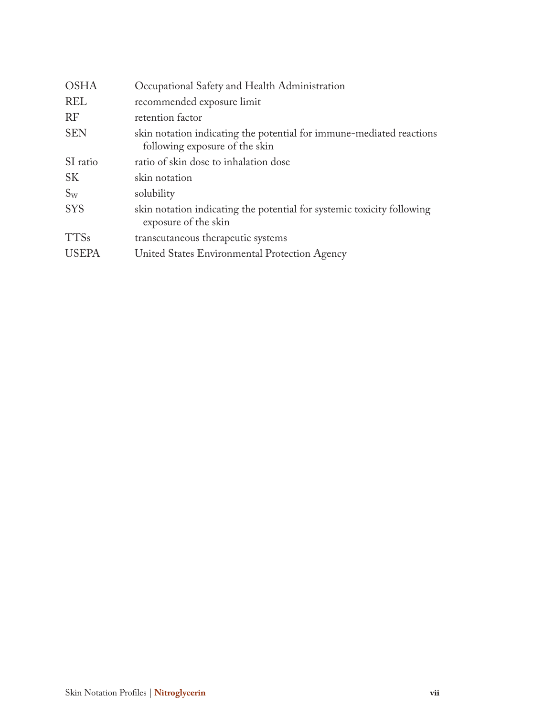| <b>OSHA</b>  | Occupational Safety and Health Administration                                                          |  |  |
|--------------|--------------------------------------------------------------------------------------------------------|--|--|
| <b>REL</b>   | recommended exposure limit                                                                             |  |  |
| RF           | retention factor                                                                                       |  |  |
| <b>SEN</b>   | skin notation indicating the potential for immune-mediated reactions<br>following exposure of the skin |  |  |
| SI ratio     | ratio of skin dose to inhalation dose                                                                  |  |  |
| <b>SK</b>    | skin notation                                                                                          |  |  |
| $S_{W}$      | solubility                                                                                             |  |  |
| <b>SYS</b>   | skin notation indicating the potential for systemic toxicity following<br>exposure of the skin         |  |  |
| <b>TTSs</b>  | transcutaneous therapeutic systems                                                                     |  |  |
| <b>USEPA</b> | United States Environmental Protection Agency                                                          |  |  |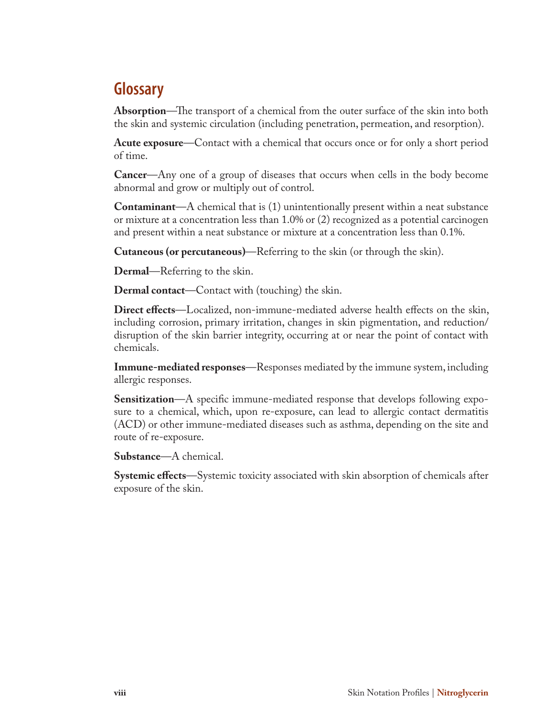# **Glossary**

**Absorption**—The transport of a chemical from the outer surface of the skin into both the skin and systemic circulation (including penetration, permeation, and resorption).

**Acute exposure**—Contact with a chemical that occurs once or for only a short period of time.

**Cancer**—Any one of a group of diseases that occurs when cells in the body become abnormal and grow or multiply out of control.

**Contaminant**—A chemical that is (1) unintentionally present within a neat substance or mixture at a concentration less than 1.0% or (2) recognized as a potential carcinogen and present within a neat substance or mixture at a concentration less than 0.1%.

**Cutaneous (or percutaneous)**—Referring to the skin (or through the skin).

**Dermal**—Referring to the skin.

**Dermal contact**—Contact with (touching) the skin.

**Direct effects**—Localized, non-immune-mediated adverse health effects on the skin, including corrosion, primary irritation, changes in skin pigmentation, and reduction/ disruption of the skin barrier integrity, occurring at or near the point of contact with chemicals.

**Immune-mediated responses**—Responses mediated by the immune system, including allergic responses.

**Sensitization**—A specific immune-mediated response that develops following exposure to a chemical, which, upon re-exposure, can lead to allergic contact dermatitis (ACD) or other immune-mediated diseases such as asthma, depending on the site and route of re-exposure.

**Substance**—A chemical.

**Systemic effects**—Systemic toxicity associated with skin absorption of chemicals after exposure of the skin.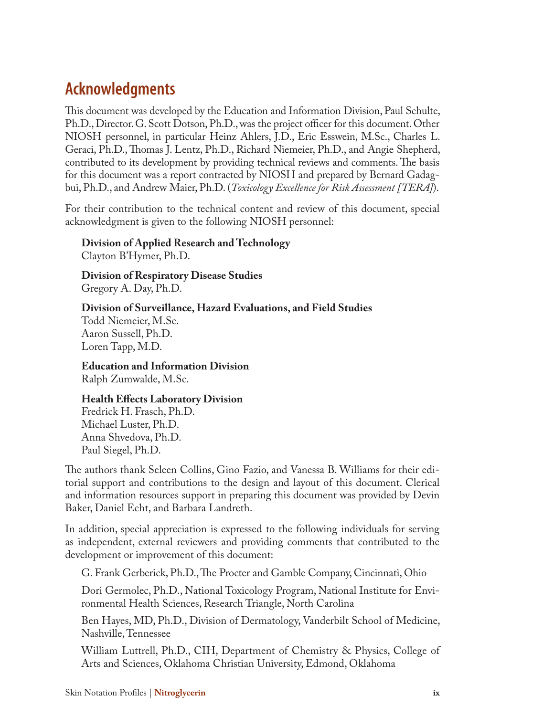# **Acknowledgments**

This document was developed by the Education and Information Division, Paul Schulte, Ph.D., Director. G. Scott Dotson, Ph.D., was the project officer for this document. Other NIOSH personnel, in particular Heinz Ahlers, J.D., Eric Esswein, M.Sc., Charles L. Geraci, Ph.D., Thomas J. Lentz, Ph.D., Richard Niemeier, Ph.D., and Angie Shepherd, contributed to its development by providing technical reviews and comments. The basis for this document was a report contracted by NIOSH and prepared by Bernard Gadagbui, Ph.D., and Andrew Maier, Ph.D. (*Toxicology Excellence for Risk Assessment [TERA]*).

For their contribution to the technical content and review of this document, special acknowledgment is given to the following NIOSH personnel:

**Division of Applied Research and Technology**  Clayton B'Hymer, Ph.D.

**Division of Respiratory Disease Studies** Gregory A. Day, Ph.D.

**Division of Surveillance, Hazard Evaluations, and Field Studies** Todd Niemeier, M.Sc. Aaron Sussell, Ph.D. Loren Tapp, M.D.

**Education and Information Division**  Ralph Zumwalde, M.Sc.

## **Health Effects Laboratory Division**

Fredrick H. Frasch, Ph.D. Michael Luster, Ph.D. Anna Shvedova, Ph.D. Paul Siegel, Ph.D.

The authors thank Seleen Collins, Gino Fazio, and Vanessa B. Williams for their editorial support and contributions to the design and layout of this document. Clerical and information resources support in preparing this document was provided by Devin Baker, Daniel Echt, and Barbara Landreth.

In addition, special appreciation is expressed to the following individuals for serving as independent, external reviewers and providing comments that contributed to the development or improvement of this document:

G. Frank Gerberick, Ph.D., The Procter and Gamble Company, Cincinnati, Ohio

Dori Germolec, Ph.D., National Toxicology Program, National Institute for Environmental Health Sciences, Research Triangle, North Carolina

Ben Hayes, MD, Ph.D., Division of Dermatology, Vanderbilt School of Medicine, Nashville, Tennessee

William Luttrell, Ph.D., CIH, Department of Chemistry & Physics, College of Arts and Sciences, Oklahoma Christian University, Edmond, Oklahoma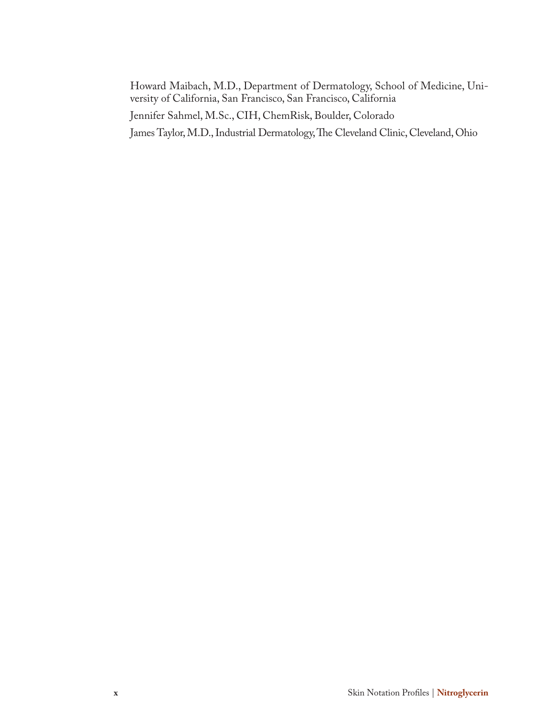Howard Maibach, M.D., Department of Dermatology, School of Medicine, University of California, San Francisco, San Francisco, California

Jennifer Sahmel, M.Sc., CIH, ChemRisk, Boulder, Colorado

James Taylor, M.D., Industrial Dermatology, The Cleveland Clinic, Cleveland, Ohio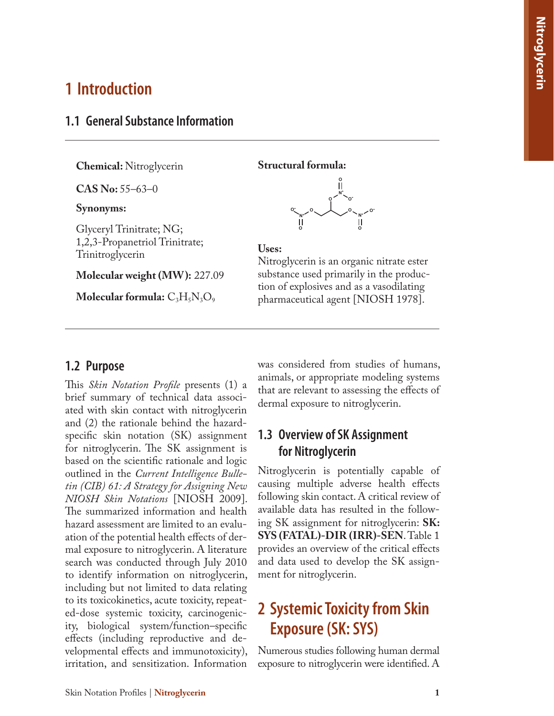## **1 Introduction**

## **1.1 General Substance Information**

**Chemical:** Nitroglycerin

**CAS No:** 55–63–0

#### **Synonyms:**

Glyceryl Trinitrate; NG; 1,2,3- Propanetriol Trinitrate; Trinitroglycerin

**Molecular weight (MW):** 227.09

**Molecular formula:**  $C_3H_5N_3O_9$ 

#### **Structural formula:**



#### **Uses:**

Nitroglycerin is an organic nitrate ester substance used primarily in the production of explosives and as a vasodilating pharmaceutical agent [NIOSH 1978].

### **1.2 Purpose**

This *Skin Notation Profile* presents (1) a brief summary of technical data associated with skin contact with nitroglycerin and (2) the rationale behind the hazardspecific skin notation (SK) assignment for nitroglycerin. The SK assignment is based on the scientific rationale and logic outlined in the *Current Intelligence Bulletin (CIB) 61: A Strategy for Assigning New NIOSH Skin Notations* [NIOSH 2009]. The summarized information and health hazard assessment are limited to an evaluation of the potential health effects of dermal exposure to nitroglycerin. A literature search was conducted through July 2010 to identify information on nitroglycerin, including but not limited to data relating to its toxicokinetics, acute toxicity, repeated-dose systemic toxicity, carcinogenicity, biological system/function–specific effects (including reproductive and developmental effects and immunotoxicity), irritation, and sensitization. Information was considered from studies of humans, animals, or appropriate modeling systems that are relevant to assessing the effects of dermal exposure to nitroglycerin.

## **1.3 Overview of SK Assignment for Nitroglycerin**

Nitroglycerin is potentially capable of causing multiple adverse health effects following skin contact. A critical review of available data has resulted in the following SK assignment for nitroglycerin: **SK: SYS (FATAL)-DIR (IRR)-SEN**. Table 1 provides an overview of the critical effects and data used to develop the SK assignment for nitroglycerin.

## **2 Systemic Toxicity from Skin Exposure (SK: SYS)**

Numerous studies following human dermal exposure to nitroglycerin were identified. A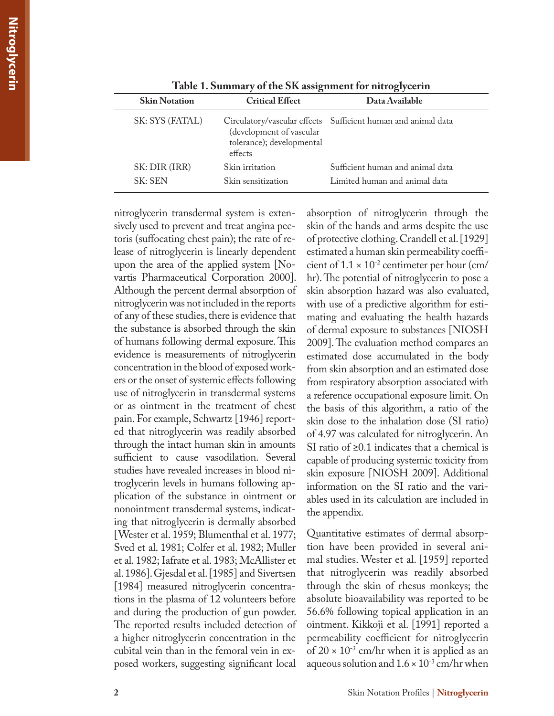| <b>Skin Notation</b>     | <b>Critical Effect</b>                                           | Data Available                                                    |
|--------------------------|------------------------------------------------------------------|-------------------------------------------------------------------|
| SK: SYS (FATAL)          | (development of vascular<br>tolerance); developmental<br>effects | Circulatory/vascular effects Sufficient human and animal data     |
| SK: DIR (IRR)<br>SK: SEN | Skin irritation<br>Skin sensitization                            | Sufficient human and animal data<br>Limited human and animal data |

**Table 1. Summary of the SK assignment for nitroglycerin**

nitroglycerin transdermal system is extensively used to prevent and treat angina pectoris (suffocating chest pain); the rate of release of nitroglycerin is linearly dependent upon the area of the applied system [Novartis Pharmaceutical Corporation 2000]. Although the percent dermal absorption of nitroglycerin was not included in the reports of any of these studies, there is evidence that the substance is absorbed through the skin of humans following dermal exposure. This evidence is measurements of nitroglycerin concentration in the blood of exposed workers or the onset of systemic effects following use of nitroglycerin in transdermal systems or as ointment in the treatment of chest pain. For example, Schwartz [1946] reported that nitroglycerin was readily absorbed through the intact human skin in amounts sufficient to cause vasodilation. Several studies have revealed increases in blood nitroglycerin levels in humans following application of the substance in ointment or nonointment transdermal systems, indicating that nitroglycerin is dermally absorbed [Wester et al. 1959; Blumenthal et al. 1977; Sved et al. 1981; Colfer et al. 1982; Muller et al. 1982; Iafrate et al. 1983; McAllister et al. 1986]. Gjesdal et al. [1985] and Sivertsen [1984] measured nitroglycerin concentrations in the plasma of 12 volunteers before and during the production of gun powder. The reported results included detection of a higher nitroglycerin concentration in the cubital vein than in the femoral vein in exposed workers, suggesting significant local

absorption of nitroglycerin through the skin of the hands and arms despite the use of protective clothing. Crandell et al. [1929] estimated a human skin permeability coefficient of  $1.1 \times 10^{-2}$  centimeter per hour (cm/ hr). The potential of nitroglycerin to pose a skin absorption hazard was also evaluated, with use of a predictive algorithm for estimating and evaluating the health hazards of dermal exposure to substances [NIOSH 2009]. The evaluation method compares an estimated dose accumulated in the body from skin absorption and an estimated dose from respiratory absorption associated with a reference occupational exposure limit. On the basis of this algorithm, a ratio of the skin dose to the inhalation dose (SI ratio) of 4.97 was calculated for nitroglycerin. An SI ratio of ≥0.1 indicates that a chemical is capable of producing systemic toxicity from skin exposure [NIOSH 2009]. Additional information on the SI ratio and the variables used in its calculation are included in the appendix.

Quantitative estimates of dermal absorption have been provided in several animal studies. Wester et al. [1959] reported that nitroglycerin was readily absorbed through the skin of rhesus monkeys; the absolute bioavailability was reported to be 56.6% following topical application in an ointment. Kikkoji et al. [1991] reported a permeability coefficient for nitroglycerin of  $20 \times 10^{-3}$  cm/hr when it is applied as an aqueous solution and  $1.6 \times 10^{-3}$  cm/hr when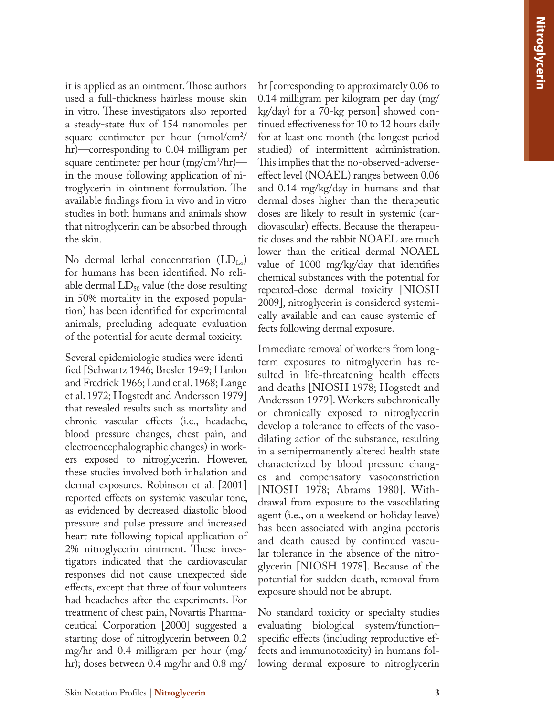it is applied as an ointment. Those authors used a full-thickness hairless mouse skin in vitro. These investigators also reported a steady-state flux of 154 nanomoles per square centimeter per hour (nmol/cm 2 / hr)—corresponding to 0.04 milligram per square centimeter per hour (mg/cm 2 /hr) in the mouse following application of ni troglycerin in ointment formulation. The available findings from in vivo and in vitro studies in both humans and animals show that nitroglycerin can be absorbed through the skin.

No dermal lethal concentration  $(LD_{Lo})$ for humans has been identified. No reli able dermal  $LD_{50}$  value (the dose resulting in 50% mortality in the exposed popula tion) has been identified for experimental animals, precluding adequate evaluation of the potential for acute dermal toxicity.

Several epidemiologic studies were identi fied [Schwartz 1946; Bresler 1949; Hanlon and Fredrick 1966; Lund et al. 1968; Lange et al. 1972; Hogstedt and Andersson 1979] that revealed results such as mortality and chronic vascular effects (i.e., headache, blood pressure changes, chest pain, and electroencephalographic changes) in work ers exposed to nitroglycerin. However, these studies involved both inhalation and dermal exposures. Robinson et al. [2001] reported effects on systemic vascular tone, as evidenced by decreased diastolic blood pressure and pulse pressure and increased heart rate following topical application of 2% nitroglycerin ointment. These inves tigators indicated that the cardiovascular responses did not cause unexpected side effects, except that three of four volunteers had headaches after the experiments. For treatment of chest pain, Novartis Pharma ceutical Corporation [2000] suggested a starting dose of nitroglycerin between 0.2 mg/hr and 0.4 milligram per hour (mg/ hr); doses between 0.4 mg/hr and 0.8 mg/

hr [corresponding to approximately 0.06 to 0.14 milligram per kilogram per day (mg/ kg/day) for a 70-kg person] showed con tinued effectiveness for 10 to 12 hours daily for at least one month (the longest period studied) of intermittent administration. This implies that the no-observed-adverseeffect level (NOAEL) ranges between 0.06 and 0.14 mg/kg/day in humans and that dermal doses higher than the therapeutic doses are likely to result in systemic (car diovascular) effects. Because the therapeu tic doses and the rabbit NOAEL are much lower than the critical dermal NOAEL value of 1000 mg/kg/day that identifies chemical substances with the potential for repeated-dose dermal toxicity [NIOSH 2009], nitroglycerin is considered systemi cally available and can cause systemic effects following dermal exposure.

Immediate removal of workers from longterm exposures to nitroglycerin has resulted in life-threatening health effects and deaths [NIOSH 1978; Hogstedt and Andersson 1979]. Workers subchronically or chronically exposed to nitroglycerin develop a tolerance to effects of the vaso dilating action of the substance, resulting in a semipermanently altered health state characterized by blood pressure chang es and compensatory vasoconstriction [NIOSH 1978; Abrams 1980]. With drawal from exposure to the vasodilating agent (i.e., on a weekend or holiday leave) has been associated with angina pectoris and death caused by continued vascu lar tolerance in the absence of the nitro glycerin [NIOSH 1978]. Because of the potential for sudden death, removal from exposure should not be abrupt.

No standard toxicity or specialty studies evaluating biological system/function– specific effects (including reproductive effects and immunotoxicity) in humans following dermal exposure to nitroglycerin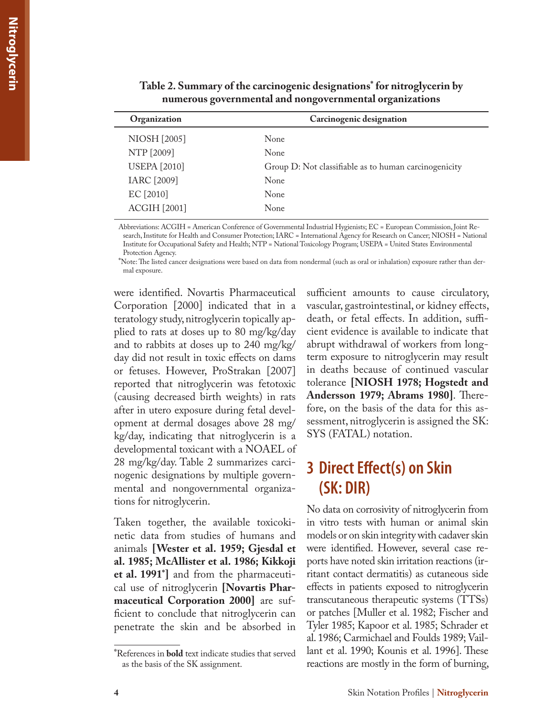| Organization         | Carcinogenic designation                              |  |  |
|----------------------|-------------------------------------------------------|--|--|
| NIOSH [2005]         | None                                                  |  |  |
| NTP [2009]           | None                                                  |  |  |
| <b>USEPA</b> [2010]  | Group D: Not classifiable as to human carcinogenicity |  |  |
| IARC [2009]          | None                                                  |  |  |
| EC <sup>[2010]</sup> | None                                                  |  |  |
| <b>ACGIH [2001]</b>  | None                                                  |  |  |

**Table 2. Summary of the carcinogenic designations\* for nitroglycerin by numerous governmental and nongovernmental organizations**

Abbreviations: ACGIH = American Conference of Governmental Industrial Hygienists; EC = European Commission, Joint Research, Institute for Health and Consumer Protection; IARC = International Agency for Research on Cancer; NIOSH = National Institute for Occupational Safety and Health; NTP = National Toxicology Program; USEPA = United States Environmental Protection Agency.

\*Note: The listed cancer designations were based on data from nondermal (such as oral or inhalation) exposure rather than dermal exposure.

were identified. Novartis Pharmaceutical Corporation [2000] indicated that in a teratology study, nitroglycerin topically applied to rats at doses up to 80 mg/kg/day and to rabbits at doses up to 240 mg/kg/ day did not result in toxic effects on dams or fetuses. However, ProStrakan [2007] reported that nitroglycerin was fetotoxic (causing decreased birth weights) in rats after in utero exposure during fetal development at dermal dosages above 28 mg/ kg/day, indicating that nitroglycerin is a developmental toxicant with a NOAEL of 28 mg/kg/day. Table 2 summarizes carcinogenic designations by multiple governmental and nongovernmental organizations for nitroglycerin.

Taken together, the available toxicokinetic data from studies of humans and animals **[Wester et al. 1959; Gjesdal et al. 1985; McAllister et al. 1986; Kikkoji et al. 1991\*]** and from the pharmaceutical use of nitroglycerin **[Novartis Pharmaceutical Corporation 2000]** are sufficient to conclude that nitroglycerin can penetrate the skin and be absorbed in

sufficient amounts to cause circulatory, vascular, gastrointestinal, or kidney effects, death, or fetal effects. In addition, sufficient evidence is available to indicate that abrupt withdrawal of workers from longterm exposure to nitroglycerin may result in deaths because of continued vascular tolerance **[NIOSH 1978; Hogstedt and Andersson 1979; Abrams 1980]**. Therefore, on the basis of the data for this assessment, nitroglycerin is assigned the SK: SYS (FATAL) notation.

## **3 Direct Effect(s) on Skin (SK: DIR)**

No data on corrosivity of nitroglycerin from in vitro tests with human or animal skin models or on skin integrity with cadaver skin were identified. However, several case reports have noted skin irritation reactions (irritant contact dermatitis) as cutaneous side effects in patients exposed to nitroglycerin transcutaneous therapeutic systems (TTSs) or patches [Muller et al. 1982; Fischer and Tyler 1985; Kapoor et al. 1985; Schrader et al. 1986; Carmichael and Foulds 1989; Vaillant et al. 1990; Kounis et al. 1996]. These reactions are mostly in the form of burning,

<sup>\*</sup>References in **bold** text indicate studies that served as the basis of the SK assignment.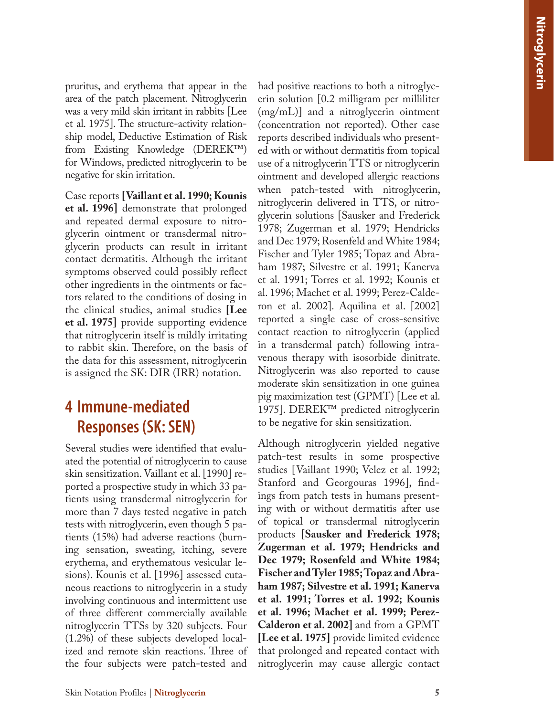pruritus, and erythema that appear in the area of the patch placement. Nitroglycerin was a very mild skin irritant in rabbits [Lee et al. 1975]. The structure-activity relation ship model, Deductive Estimation of Risk from Existing Knowledge (DEREK™) for Windows, predicted nitroglycerin to be negative for skin irritation.

Case reports **[Vaillant et al. 1990; Kounis et al. 1996]** demonstrate that prolonged and repeated dermal exposure to nitro glycerin ointment or transdermal nitro glycerin products can result in irritant contact dermatitis. Although the irritant symptoms observed could possibly reflect other ingredients in the ointments or fac tors related to the conditions of dosing in the clinical studies, animal studies **[Lee et al. 1975]** provide supporting evidence that nitroglycerin itself is mildly irritating to rabbit skin. Therefore, on the basis of the data for this assessment, nitroglycerin is assigned the SK: DIR (IRR) notation.

## **4 Immune-mediated Responses (SK: SEN)**

Several studies were identified that evalu ated the potential of nitroglycerin to cause skin sensitization. Vaillant et al. [1990] re ported a prospective study in which 33 pa tients using transdermal nitroglycerin for more than 7 days tested negative in patch tests with nitroglycerin, even though 5 pa tients (15%) had adverse reactions (burn ing sensation, sweating, itching, severe erythema, and erythematous vesicular le sions). Kounis et al. [1996] assessed cuta neous reactions to nitroglycerin in a study involving continuous and intermittent use of three different commercially available nitroglycerin TTSs by 320 subjects. Four (1.2%) of these subjects developed local ized and remote skin reactions. Three of the four subjects were patch-tested and

had positive reactions to both a nitroglyc erin solution [0.2 milligram per milliliter (mg/mL)] and a nitroglycerin ointment (concentration not reported). Other case reports described individuals who present ed with or without dermatitis from topical use of a nitroglycerin TTS or nitroglycerin ointment and developed allergic reactions when patch-tested with nitroglycerin, nitroglycerin delivered in TTS, or nitroglycerin solutions [Sausker and Frederick 1978; Zugerman et al. 1979; Hendricks and Dec 1979; Rosenfeld and White 1984; Fischer and Tyler 1985; Topaz and Abra ham 1987; Silvestre et al. 1991; Kanerva et al. 1991; Torres et al. 1992; Kounis et al. 1996; Machet et al. 1999; Perez-Calde ron et al. 2002]. Aquilina et al. [2002] reported a single case of cross-sensitive contact reaction to nitroglycerin (applied in a transdermal patch) following intra venous therapy with isosorbide dinitrate. Nitroglycerin was also reported to cause moderate skin sensitization in one guinea pig maximization test (GPMT) [Lee et al. 1975]. DEREK™ predicted nitroglycerin to be negative for skin sensitization.

Although nitroglycerin yielded negative patch-test results in some prospective studies [Vaillant 1990; Velez et al. 1992; Stanford and Georgouras 1996], find ings from patch tests in humans present ing with or without dermatitis after use of topical or transdermal nitroglycerin products **[Sausker and Frederick 1978; Zugerman et al. 1979; Hendricks and Dec 1979; Rosenfeld and White 1984; Fischer and Tyler 1985; Topaz and Abra ham 1987; Silvestre et al. 1991; Kanerva et al. 1991; Torres et al. 1992; Kounis et al. 1996; Machet et al. 1999; Perez-Calderon et al. 2002]** and from a GPMT **[Lee et al. 1975]** provide limited evidence that prolonged and repeated contact with nitroglycerin may cause allergic contact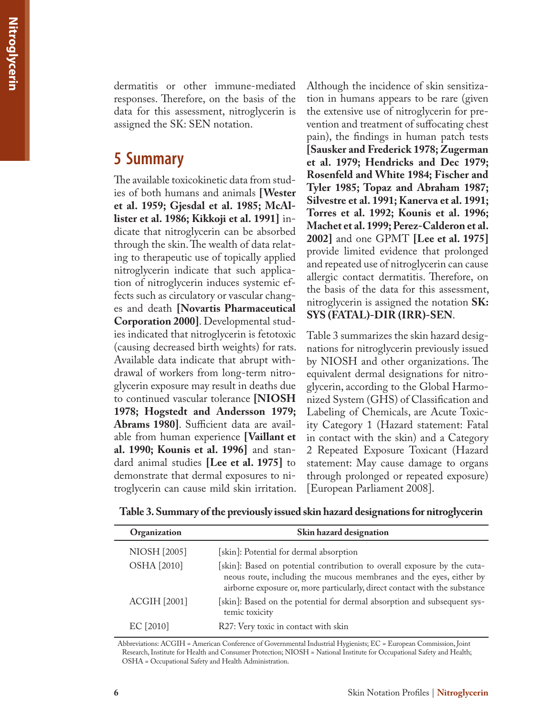dermatitis or other immune-mediated responses. Therefore, on the basis of the data for this assessment, nitroglycerin is assigned the SK: SEN notation.

## **5 Summary**

The available toxicokinetic data from studies of both humans and animals **[Wester et al. 1959; Gjesdal et al. 1985; McAllister et al. 1986; Kikkoji et al. 1991]** indicate that nitroglycerin can be absorbed through the skin. The wealth of data relating to therapeutic use of topically applied nitroglycerin indicate that such application of nitroglycerin induces systemic effects such as circulatory or vascular changes and death **[Novartis Pharmaceutical Corporation 2000]**. Developmental studies indicated that nitroglycerin is fetotoxic (causing decreased birth weights) for rats. Available data indicate that abrupt withdrawal of workers from long-term nitroglycerin exposure may result in deaths due to continued vascular tolerance **[NIOSH 1978; Hogstedt and Andersson 1979; Abrams 1980]**. Sufficient data are available from human experience **[Vaillant et al. 1990; Kounis et al. 1996]** and standard animal studies **[Lee et al. 1975]** to demonstrate that dermal exposures to nitroglycerin can cause mild skin irritation.

Although the incidence of skin sensitization in humans appears to be rare (given the extensive use of nitroglycerin for prevention and treatment of suffocating chest pain), the findings in human patch tests **[Sausker and Frederick 1978; Zugerman et al. 1979; Hendricks and Dec 1979; Rosenfeld and White 1984; Fischer and Tyler 1985; Topaz and Abraham 1987; Silvestre et al. 1991; Kanerva et al. 1991; Torres et al. 1992; Kounis et al. 1996; Machet et al. 1999; Perez-Calderon et al. 2002]** and one GPMT **[Lee et al. 1975]**  provide limited evidence that prolonged and repeated use of nitroglycerin can cause allergic contact dermatitis. Therefore, on the basis of the data for this assessment, nitroglycerin is assigned the notation **SK: SYS (FATAL)-DIR (IRR)-SEN**.

Table 3 summarizes the skin hazard designations for nitroglycerin previously issued by NIOSH and other organizations. The equivalent dermal designations for nitroglycerin, according to the Global Harmonized System (GHS) of Classification and Labeling of Chemicals, are Acute Toxicity Category 1 (Hazard statement: Fatal in contact with the skin) and a Category 2 Repeated Exposure Toxicant (Hazard statement: May cause damage to organs through prolonged or repeated exposure) [European Parliament 2008].

| Organization         | Skin hazard designation                                                                                                                                                                                                       |
|----------------------|-------------------------------------------------------------------------------------------------------------------------------------------------------------------------------------------------------------------------------|
| NIOSH [2005]         | [skin]: Potential for dermal absorption                                                                                                                                                                                       |
| <b>OSHA</b> [2010]   | [skin]: Based on potential contribution to overall exposure by the cuta-<br>neous route, including the mucous membranes and the eyes, either by<br>airborne exposure or, more particularly, direct contact with the substance |
| <b>ACGIH [2001]</b>  | [skin]: Based on the potential for dermal absorption and subsequent sys-<br>temic toxicity                                                                                                                                    |
| EC <sup>[2010]</sup> | R27: Very toxic in contact with skin                                                                                                                                                                                          |

**Table 3. Summary of the previously issued skin hazard designations for nitroglycerin** 

Abbreviations: ACGIH = American Conference of Governmental Industrial Hygienists; EC = European Commission, Joint Research, Institute for Health and Consumer Protection; NIOSH = National Institute for Occupational Safety and Health; OSHA = Occupational Safety and Health Administration.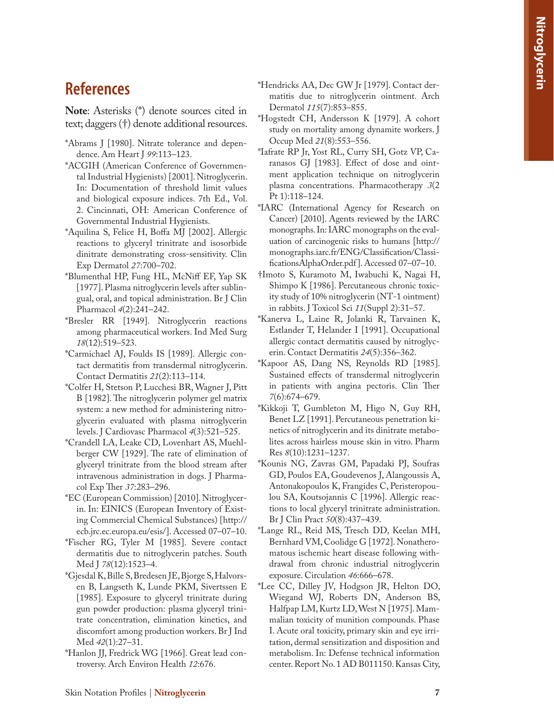## **References**

**Note**: Asterisks (\*) denote sources cited in text; daggers (†) denote additional resources.

- \*Abrams J [1980]. Nitrate tolerance and depen dence. Am Heart J *99*:113–123.
- \*ACGIH (American Conference of Governmen tal Industrial Hygienists) [2001]. Nitroglycerin. In: Documentation of threshold limit values and biological exposure indices. 7th Ed., Vol. 2. Cincinnati, OH: American Conference of Governmental Industrial Hygienists.
- \*Aquilina S, Felice H, Boffa MJ [2002]. Allergic reactions to glyceryl trinitrate and isosorbide dinitrate demonstrating cross-sensitivity. Clin Exp Dermatol *27*:700–702.
- \*Blumenthal HP, Fung HL, McNiff EF, Yap SK [1977]. Plasma nitroglycerin levels after sublin gual, oral, and topical administration. Br J Clin Pharmacol *4*(2):241–242.
- \*Bresler RR [1949]. Nitroglycerin reactions among pharmaceutical workers. Ind Med Surg *18*(12):519–523.
- \*Carmichael AJ, Foulds IS [1989]. Allergic con tact dermatitis from transdermal nitroglycerin. Contact Dermatitis *21*(2):113–114.
- \*Colfer H, Stetson P, Lucchesi BR, Wagner J, Pitt B [1982]. The nitroglycerin polymer gel matrix system: a new method for administering nitro glycerin evaluated with plasma nitroglycerin levels. J Cardiovasc Pharmacol *4*(3):521–525.
- \*Crandell LA, Leake CD, Lovenhart AS, Muehl berger CW [1929]. The rate of elimination of glyceryl trinitrate from the blood stream after intravenous administration in dogs. J Pharma col Exp Ther *37*:283–296.
- \*EC (European Commission) [2010]. Nitroglycer in. In: EINICS (European Inventory of Exist ing Commercial Chemical Substances) [http:// ecb.jrc.ec.europa.eu/esis/]. Accessed 07–07–10.
- \*Fischer RG, Tyler M [1985]. Severe contact dermatitis due to nitroglycerin patches. South Med J *78*(12):1523–4.
- \*Gjesdal K, Bille S, Bredesen JE, Bjorge S, Halvors en B, Langseth K, Lunde PKM, Sivertssen E [1985]. Exposure to glyceryl trinitrate during gun powder production: plasma glyceryl trini trate concentration, elimination kinetics, and discomfort among production workers. Br J Ind Med *42*(1):27–31.
- \*Hanlon JJ, Fredrick WG [1966]. Great lead con troversy. Arch Environ Health *12*:676.
- \*Hendricks AA, Dec GW Jr [1979]. Contact der matitis due to nitroglycerin ointment. Arch Dermatol *115*(7):853–855.
- \*Hogstedt CH, Andersson K [1979]. A cohort study on mortality among dynamite workers. J Occup Med *21*(8):553–556.
- \*Iafrate RP Jr, Yost RL, Curry SH, Gotz VP, Ca ranasos GJ [1983]. Effect of dose and oint ment application technique on nitroglycerin plasma concentrations. Pharmacotherapy *3*(2 Pt 1):118–124.
- \*IARC (International Agency for Research on Cancer) [2010]. Agents reviewed by the IARC monographs. In: IARC monographs on the eval uation of carcinogenic risks to humans [http:// monographs.iarc.fr/ENG/Classification/Classi ficationsAlphaOrder.pdf]. Accessed 07–07–10.
- †Imoto S, Kuramoto M, Iwabuchi K, Nagai H, Shimpo K [1986]. Percutaneous chronic toxic ity study of 10% nitroglycerin (NT-1 ointment) in rabbits. J Toxicol Sci *11*(Suppl 2):31–57.
- \*Kanerva L, Laine R, Jolanki R, Tarvainen K, Estlander T, Helander I [1991]. Occupational allergic contact dermatitis caused by nitroglyc erin. Contact Dermatitis *24*(5):356–362.
- \*Kapoor AS, Dang NS, Reynolds RD [1985]. Sustained effects of transdermal nitroglycerin in patients with angina pectoris. Clin Ther *7*(6):674–679.
- \*Kikkoji T, Gumbleton M, Higo N, Guy RH, Benet LZ [1991]. Percutaneous penetration ki netics of nitroglycerin and its dinitrate metabo lites across hairless mouse skin in vitro. Pharm Res *8*(10):1231–1237.
- \*Kounis NG, Zavras GM, Papadaki PJ, Soufras GD, Poulos EA, Goudevenos J, Alangoussis A, Antonakopoulos K, Frangides C, Peristeropou lou SA, Koutsojannis C [1996]. Allergic reac tions to local glyceryl trinitrate administration. Br J Clin Pract *50*(8):437–439.
- \*Lange RL, Reid MS, Tresch DD, Keelan MH, Bernhard VM, Coolidge G [1972]. Nonathero matous ischemic heart disease following with drawal from chronic industrial nitroglycerin exposure. Circulation *46*:666–678.
- \*Lee CC, Dilley JV, Hodgson JR, Helton DO, Wiegand WJ, Roberts DN, Anderson BS, Halfpap LM, Kurtz LD, West N [1975]. Mam malian toxicity of munition compounds. Phase I. Acute oral toxicity, primary skin and eye irri tation, dermal sensitization and disposition and metabolism. In: Defense technical information center. Report No. 1 AD B011150. Kansas City,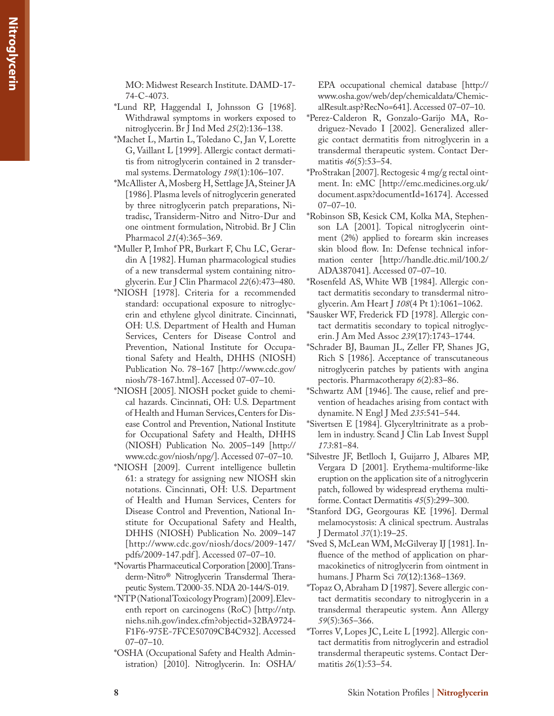MO: Midwest Research Institute. DAMD-17- 74-C-4073.

- \*Lund RP, Haggendal I, Johnsson G [1968]. Withdrawal symptoms in workers exposed to nitroglycerin. Br J Ind Med *25*(2):136–138.
- \*Machet L, Martin L, Toledano C, Jan V, Lorette G, Vaillant L [1999]. Allergic contact dermati tis from nitroglycerin contained in 2 transder mal systems. Dermatology *198*(1):106–107.
- \*McAllister A, Mosberg H, Settlage JA, Steiner JA [1986]. Plasma levels of nitroglycerin generated by three nitroglycerin patch preparations, Ni tradisc, Transiderm-Nitro and Nitro-Dur and one ointment formulation, Nitrobid. Br J Clin Pharmacol *21*(4):365–369.
- \*Muller P, Imhof PR, Burkart F, Chu LC, Gerar din A [1982]. Human pharmacological studies of a new transdermal system containing nitro glycerin. Eur J Clin Pharmacol *22*(6):473–480.
- \*NIOSH [1978]. Criteria for a recommended standard: occupational exposure to nitroglyc erin and ethylene glycol dinitrate. Cincinnati, OH: U.S. Department of Health and Human Services, Centers for Disease Control and Prevention, National Institute for Occupa tional Safety and Health, DHHS (NIOSH) Publication No. 78–167 [http://www.cdc.gov/ niosh/78-167.html]. Accessed 07–07–10.
- \*NIOSH [2005]. NIOSH pocket guide to chemi cal hazards. Cincinnati, OH: U.S. Department of Health and Human Services, Centers for Dis ease Control and Prevention, National Institute for Occupational Safety and Health, DHHS (NIOSH) Publication No. 2005–149 [http:// www.cdc.gov/niosh/npg/]. Accessed 07–07–10.
- \*NIOSH [2009]. Current intelligence bulletin 61: a strategy for assigning new NIOSH skin notations. Cincinnati, OH: U.S. Department of Health and Human Services, Centers for Disease Control and Prevention, National In stitute for Occupational Safety and Health, DHHS (NIOSH) Publication No. 2009–147 [http://www.cdc.gov/niosh/docs/2009-147/ pdfs/2009-147.pdf ]. Accessed 07–07–10.
- \*Novartis Pharmaceutical Corporation [2000]. Trans derm-Nitro® Nitroglycerin Transdermal Thera peutic System. T2000-35. NDA 20-144/S-019.
- \*NTP (National Toxicology Program) [2009]. Elev enth report on carcinogens (RoC) [http://ntp. niehs.nih.gov/index.cfm?objectid=32BA9724- F1F6-975E-7FCE50709CB4C932]. Accessed 07–07–10.
- \*OSHA (Occupational Safety and Health Admin istration) [2010]. Nitroglycerin. In: OSHA/

EPA occupational chemical database [http:// www.osha.gov/web/dep/chemicaldata/Chemic alResult.asp?RecNo=641]. Accessed 07–07–10.

- \*Perez-Calderon R, Gonzalo-Garijo MA, Ro driguez-Nevado I [2002]. Generalized aller gic contact dermatitis from nitroglycerin in a transdermal therapeutic system. Contact Der matitis *46*(5):53–54.
- \*ProStrakan [2007]. Rectogesic 4 mg/g rectal oint ment. In: eMC [http://emc.medicines.org.uk/ document.aspx?documentId=16174]. Accessed 07–07–10.
- \*Robinson SB, Kesick CM, Kolka MA, Stephen son LA [2001]. Topical nitroglycerin oint ment (2%) applied to forearm skin increases skin blood flow. In: Defense technical infor mation center [http://handle.dtic.mil/100.2/ ADA387041]. Accessed 07–07–10.
- \*Rosenfeld AS, White WB [1984]. Allergic con tact dermatitis secondary to transdermal nitro glycerin. Am Heart J *108*(4 Pt 1):1061–1062.
- \*Sausker WF, Frederick FD [1978]. Allergic con tact dermatitis secondary to topical nitroglyc erin. J Am Med Assoc *239*(17):1743–1744.
- \*Schrader BJ, Bauman JL, Zeller FP, Shanes JG, Rich S [1986]. Acceptance of transcutaneous nitroglycerin patches by patients with angina pectoris. Pharmacotherapy *6*(2):83–86.
- \*Schwartz AM [1946]. The cause, relief and pre vention of headaches arising from contact with dynamite. N Engl J Med *235*:541–544.
- \*Sivertsen E [1984]. Glyceryltrinitrate as a prob lem in industry. Scand J Clin Lab Invest Suppl *173*:81–84.
- \*Silvestre JF, Betlloch I, Guijarro J, Albares MP, Vergara D [2001]. Erythema-multiforme-like eruption on the application site of a nitroglycerin patch, followed by widespread erythema multi forme. Contact Dermatitis *45*(5):299–300.
- \*Stanford DG, Georgouras KE [1996]. Dermal melamocystosis: A clinical spectrum. Australas J Dermatol *37*(1):19–25.
- \*Sved S, McLean WM, McGilveray IJ [1981]. In fluence of the method of application on phar macokinetics of nitroglycerin from ointment in humans. J Pharm Sci *70*(12):1368–1369.
- \*Topaz O, Abraham D [1987]. Severe allergic con tact dermatitis secondary to nitroglycerin in a transdermal therapeutic system. Ann Allergy *59*(5):365–366.
- \*Torres V, Lopes JC, Leite L [1992]. Allergic con tact dermatitis from nitroglycerin and estradiol transdermal therapeutic systems. Contact Der matitis *26*(1):53–54.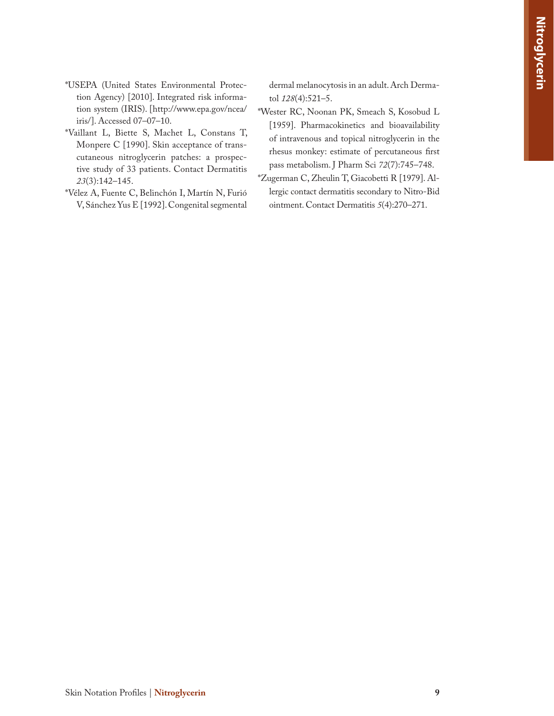- \*USEPA (United States Environmental Protection Agency) [2010]. Integrated risk information system (IRIS). [http://www.epa.gov/ncea/ iris/]. Accessed 07–07–10.
- \*Vaillant L, Biette S, Machet L, Constans T, Monpere C [1990]. Skin acceptance of transcutaneous nitroglycerin patches: a prospective study of 33 patients. Contact Dermatitis *23*(3):142–145.
- \*Vélez A, Fuente C, Belinchón I, Martín N, Furió V, Sánchez Yus E [1992]. Congenital segmental

dermal melanocytosis in an adult. Arch Dermatol *128*(4):521–5.

- \*Wester RC, Noonan PK, Smeach S, Kosobud L [1959]. Pharmacokinetics and bioavailability of intravenous and topical nitroglycerin in the rhesus monkey: estimate of percutaneous first pass metabolism. J Pharm Sci *72*(7):745–748.
- \*Zugerman C, Zheulin T, Giacobetti R [1979]. Allergic contact dermatitis secondary to Nitro-Bid ointment. Contact Dermatitis *5*(4):270–271.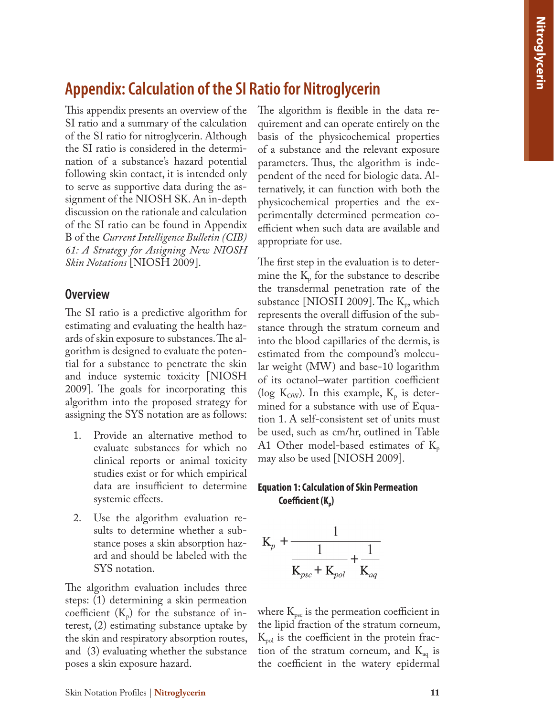# **Appendix: Calculation of the SI Ratio for Nitroglycerin**

This appendix presents an overview of the SI ratio and a summary of the calculation of the SI ratio for nitroglycerin. Although the SI ratio is considered in the determination of a substance's hazard potential following skin contact, it is intended only to serve as supportive data during the assignment of the NIOSH SK. An in-depth discussion on the rationale and calculation of the SI ratio can be found in Appendix B of the *Current Intelligence Bulletin (CIB) 61: A Strategy for Assigning New NIOSH Skin Notations* [NIOSH 2009].

## **Overview**

The SI ratio is a predictive algorithm for estimating and evaluating the health hazards of skin exposure to substances. The algorithm is designed to evaluate the potential for a substance to penetrate the skin and induce systemic toxicity [NIOSH 2009]. The goals for incorporating this algorithm into the proposed strategy for assigning the SYS notation are as follows:

- 1. Provide an alternative method to evaluate substances for which no clinical reports or animal toxicity studies exist or for which empirical data are insufficient to determine systemic effects.
- 2. Use the algorithm evaluation results to determine whether a substance poses a skin absorption hazard and should be labeled with the SYS notation.

The algorithm evaluation includes three steps: (1) determining a skin permeation coefficient  $(K_p)$  for the substance of interest, (2) estimating substance uptake by the skin and respiratory absorption routes, and (3) evaluating whether the substance poses a skin exposure hazard.

The algorithm is flexible in the data requirement and can operate entirely on the basis of the physicochemical properties of a substance and the relevant exposure parameters. Thus, the algorithm is independent of the need for biologic data. Alternatively, it can function with both the physicochemical properties and the experimentally determined permeation coefficient when such data are available and appropriate for use.

The first step in the evaluation is to determine the  $K_{p}$  for the substance to describe the transdermal penetration rate of the substance [NIOSH 2009]. The  $K_p$ , which represents the overall diffusion of the substance through the stratum corneum and into the blood capillaries of the dermis, is estimated from the compound's molecular weight (MW) and base-10 logarithm of its octanol–water partition coefficient (log  $K<sub>OW</sub>$ ). In this example,  $K<sub>p</sub>$  is determined for a substance with use of Equation 1. A self-consistent set of units must be used, such as cm/hr, outlined in Table A1 Other model-based estimates of  $K_p$ may also be used [NIOSH 2009].

### **Equation 1: Calculation of Skin Permeation**  Coefficient (K<sub>n</sub>)



where  $K_{\text{psc}}$  is the permeation coefficient in the lipid fraction of the stratum corneum,  $K_{pol}$  is the coefficient in the protein fraction of the stratum corneum, and  $K_{aq}$  is the coefficient in the watery epidermal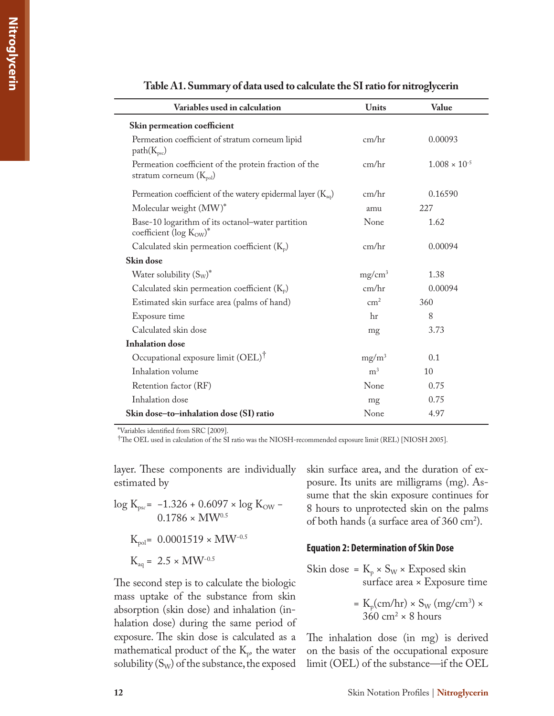| Variables used in calculation                                                        | <b>Units</b>   | Value                  |  |  |
|--------------------------------------------------------------------------------------|----------------|------------------------|--|--|
| Skin permeation coefficient                                                          |                |                        |  |  |
| Permeation coefficient of stratum corneum lipid<br>$path(K_{\text{psc}})$            | cm/hr          | 0.00093                |  |  |
| Permeation coefficient of the protein fraction of the<br>stratum corneum $(K_{pol})$ | cm/hr          | $1.008 \times 10^{-5}$ |  |  |
| Permeation coefficient of the watery epidermal layer $(K_{aq})$                      | cm/hr          | 0.16590                |  |  |
| Molecular weight (MW)*                                                               | amu            | 227                    |  |  |
| Base-10 logarithm of its octanol-water partition<br>coefficient ( $log K_{OW}$ )*    | None           | 1.62                   |  |  |
| Calculated skin permeation coefficient $(K_p)$                                       | cm/hr          | 0.00094                |  |  |
| Skin dose                                                                            |                |                        |  |  |
| Water solubility $(S_W)^*$                                                           | $mg/cm^3$      | 1.38                   |  |  |
| Calculated skin permeation coefficient $(K_p)$                                       | cm/hr          | 0.00094                |  |  |
| Estimated skin surface area (palms of hand)                                          | $\text{cm}^2$  | 360                    |  |  |
| Exposure time                                                                        | hr             | 8                      |  |  |
| Calculated skin dose                                                                 | mg             | 3.73                   |  |  |
| <b>Inhalation</b> dose                                                               |                |                        |  |  |
| Occupational exposure limit (OEL) <sup>†</sup>                                       | $mg/m^3$       | 0.1                    |  |  |
| Inhalation volume                                                                    | m <sup>3</sup> | 10                     |  |  |
| Retention factor (RF)                                                                | None           | 0.75                   |  |  |
| Inhalation dose                                                                      | mg             | 0.75                   |  |  |
| Skin dose-to-inhalation dose (SI) ratio                                              | None           | 4.97                   |  |  |

#### **Table A1. Summary of data used to calculate the SI ratio for nitroglycerin**

\*Variables identified from SRC [2009].

†The OEL used in calculation of the SI ratio was the NIOSH-recommended exposure limit (REL) [NIOSH 2005].

layer. These components are individually estimated by

 $\log$  K<sub>psc</sub>=  $-1.326 + 0.6097 \times \log$  K<sub>OW</sub>  $0.1786 \times MW^{0.5}$ 

$$
K_{\rm pol} \rm = \; 0.0001519 \times MW^{-0.5}
$$

$$
K_{aq} = 2.5 \times MW^{-0.5}
$$

The second step is to calculate the biologic mass uptake of the substance from skin absorption (skin dose) and inhalation (inhalation dose) during the same period of exposure. The skin dose is calculated as a mathematical product of the  $K_p$ , the water solubility  $(S_W)$  of the substance, the exposed

skin surface area, and the duration of exposure. Its units are milligrams (mg). Assume that the skin exposure continues for 8 hours to unprotected skin on the palms of both hands (a surface area of  $360 \text{ cm}^2$ ).

#### **Equation 2: Determination of Skin Dose**

Skin dose =  $K_p \times S_W \times$  Exposed skin surface area × Exposure time

= 
$$
K_p(cm/hr) \times S_W (mg/cm^3) \times 360 cm^2 \times 8 hours
$$

The inhalation dose (in mg) is derived on the basis of the occupational exposure limit (OEL) of the substance—if the OEL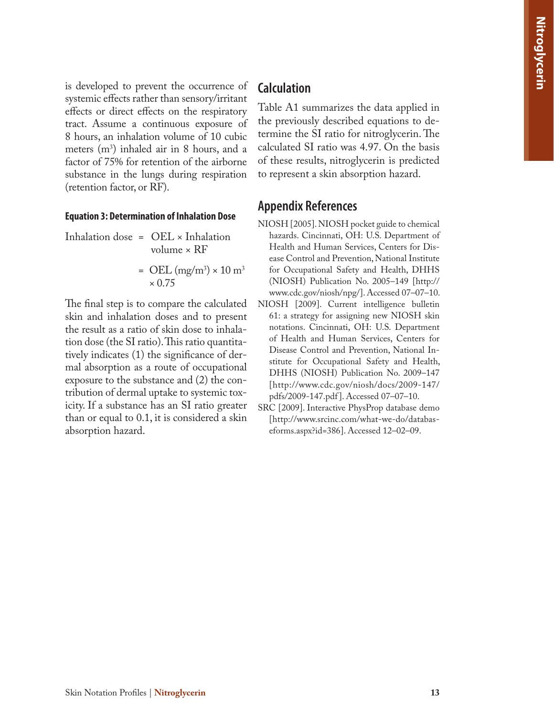is developed to prevent the occurrence of systemic effects rather than sensory/irritant effects or direct effects on the respiratory tract. Assume a continuous exposure of 8 hours, an inhalation volume of 10 cubic meters (m3 ) inhaled air in 8 hours, and a factor of 75% for retention of the airborne substance in the lungs during respiration (retention factor, or RF).

#### **Equation 3: Determination of Inhalation Dose**

- Inhalation dose =  $OEL \times Inhalation$ volume × RF
	- $= \text{ OEL (mg/m<sup>3</sup>)} \times 10 \text{ m}^3$  $\times 0.75$

The final step is to compare the calculated skin and inhalation doses and to present the result as a ratio of skin dose to inhalation dose (the SI ratio). This ratio quantitatively indicates (1) the significance of dermal absorption as a route of occupational exposure to the substance and (2) the contribution of dermal uptake to systemic toxicity. If a substance has an SI ratio greater than or equal to 0.1, it is considered a skin absorption hazard.

#### **Calculation**

Table A1 summarizes the data applied in the previously described equations to determine the SI ratio for nitroglycerin. The calculated SI ratio was 4.97. On the basis of these results, nitroglycerin is predicted to represent a skin absorption hazard.

## **Appendix References**

- NIOSH [2005]. NIOSH pocket guide to chemical hazards. Cincinnati, OH: U.S. Department of Health and Human Services, Centers for Disease Control and Prevention, National Institute for Occupational Safety and Health, DHHS (NIOSH) Publication No. 2005–149 [http:// www.cdc.gov/niosh/npg/]. Accessed 07–07–10.
- NIOSH [2009]. Current intelligence bulletin 61: a strategy for assigning new NIOSH skin notations. Cincinnati, OH: U.S. Department of Health and Human Services, Centers for Disease Control and Prevention, National Institute for Occupational Safety and Health, DHHS (NIOSH) Publication No. 2009–147 [http://www.cdc.gov/niosh/docs/2009-147/ pdfs/2009-147.pdf ]. Accessed 07–07–10.
- SRC [2009]. Interactive PhysProp database demo [http://www.srcinc.com/what-we-do/databaseforms.aspx?id=386]. Accessed 12–02–09.